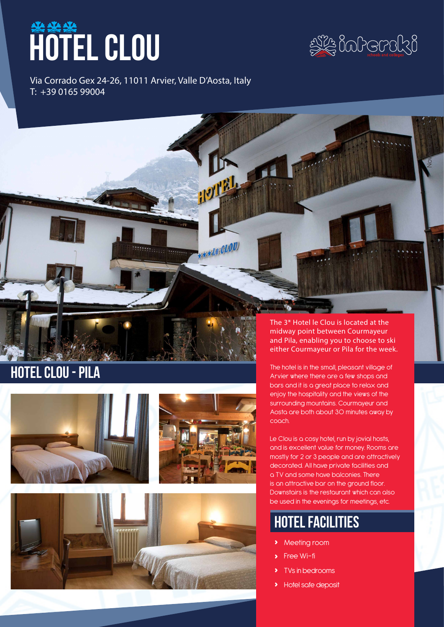# hotel clou



November 2017

Via Corrado Gex 24-26, 11011 Arvier, Valle D'Aosta, Italy T: +39 0165 99004

**HOTEL** 

Reserved (2010)

## hotel clou - pila





The 3\* Hotel le Clou is located at the midway point between Courmayeur and Pila, enabling you to choose to ski either Courmayeur or Pila for the week.

The hotel is in the small, pleasant village of Arvier where there are a few shops and bars and it is a great place to relax and enjoy the hospitality and the views of the surrounding mountains. Courmayeur and Aosta are both about 30 minutes away by coach.

Le Clou is a cosy hotel, run by jovial hosts. and is excellent value for money. Rooms are mostly for 2 or 3 people and are attractively decorated. All have private facilities and a TV and some have balconies. There is an attractive bar on the ground floor. Downstairs is the restaurant which can also be used in the evenings for meetings, etc.

### hotel facilities

- **›** Meeting room
- **›** Free Wi-fi
- **›** TVs in bedrooms
- **›** Hotel safe deposit